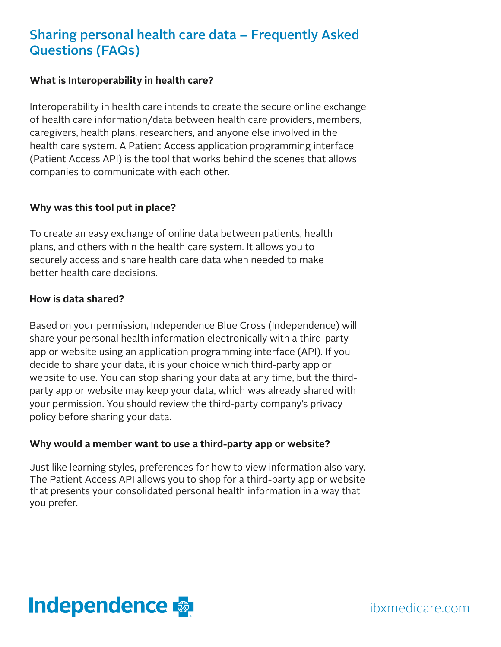## Sharing personal health care data – Frequently Asked Questions (FAQs)

#### **What is Interoperability in health care?**

Interoperability in health care intends to create the secure online exchange of health care information/data between health care providers, members, caregivers, health plans, researchers, and anyone else involved in the health care system. A Patient Access application programming interface (Patient Access API) is the tool that works behind the scenes that allows companies to communicate with each other.

#### **Why was this tool put in place?**

To create an easy exchange of online data between patients, health plans, and others within the health care system. It allows you to securely access and share health care data when needed to make better health care decisions.

#### **How is data shared?**

Based on your permission, Independence Blue Cross (Independence) will share your personal health information electronically with a third-party app or website using an application programming interface (API). If you decide to share your data, it is your choice which third-party app or website to use. You can stop sharing your data at any time, but the thirdparty app or website may keep your data, which was already shared with your permission. You should review the third-party company's privacy policy before sharing your data.

### **Why would a member want to use a third-party app or website?**

Just like learning styles, preferences for how to view information also vary. The Patient Access API allows you to shop for a third-party app or website that presents your consolidated personal health information in a way that you prefer.



ibxmedicare.com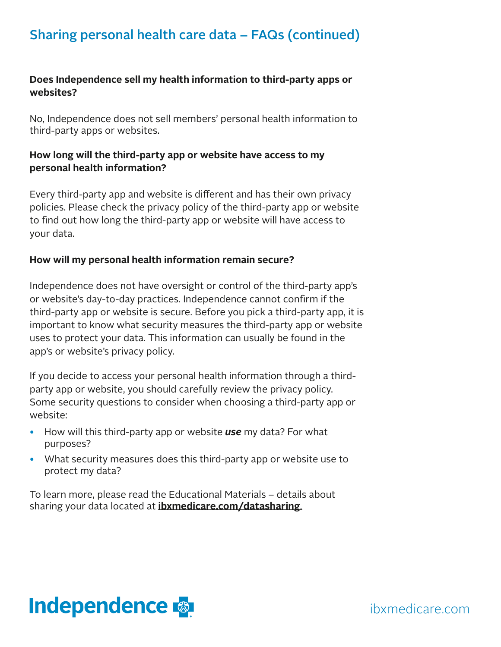## Sharing personal health care data – FAQs (continued)

## **Does Independence sell my health information to third-party apps or websites?**

No, Independence does not sell members' personal health information to third-party apps or websites.

## **How long will the third-party app or website have access to my personal health information?**

Every third-party app and website is different and has their own privacy policies. Please check the privacy policy of the third-party app or website to find out how long the third-party app or website will have access to your data.

### **How will my personal health information remain secure?**

Independence does not have oversight or control of the third-party app's or website's day-to-day practices. Independence cannot confirm if the third-party app or website is secure. Before you pick a third-party app, it is important to know what security measures the third-party app or website uses to protect your data. This information can usually be found in the app's or website's privacy policy.

If you decide to access your personal health information through a thirdparty app or website, you should carefully review the privacy policy. Some security questions to consider when choosing a third-party app or website:

- How will this third-party app or website *use* my data? For what purposes?
- What security measures does this third-party app or website use to protect my data?

To learn more, please read the Educational Materials – details about sharing your data located at **[ibxmedicare.com/datasharing](http:// ibxmedicare.com/datasharing.)**.

# **Independence**

ibxmedicare.com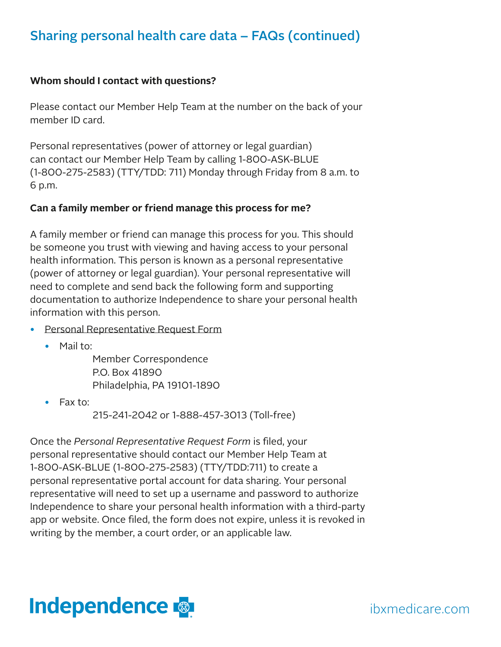## Sharing personal health care data – FAQs (continued)

### **Whom should I contact with questions?**

Please contact our Member Help Team at the number on the back of your member ID card.

Personal representatives (power of attorney or legal guardian) can contact our Member Help Team by calling 1-800-ASK-BLUE (1-800-275-2583) (TTY/TDD: 711) Monday through Friday from 8 a.m. to 6 p.m.

#### **Can a family member or friend manage this process for me?**

A family member or friend can manage this process for you. This should be someone you trust with viewing and having access to your personal health information. This person is known as a personal representative (power of attorney or legal guardian). Your personal representative will need to complete and send back the following form and supporting documentation to authorize Independence to share your personal health information with this person.

- [Personal Representative Request Form](https://www.ibx.com/documents/35221/56656/personal-representative-request-form.pdf/f6e473e9-007c-1657-61b3-033c4a418bfa?t=1579885728617)
	- Mail to:

Member Correspondence P.O. Box 41890 Philadelphia, PA 19101-1890

• Fax to:

215-241-2042 or 1-888-457-3013 (Toll-free)

Once the *Personal Representative Request Form* is filed, your personal representative should contact our Member Help Team at 1-800-ASK-BLUE (1-800-275-2583) (TTY/TDD:711) to create a personal representative portal account for data sharing. Your personal representative will need to set up a username and password to authorize Independence to share your personal health information with a third-party app or website. Once filed, the form does not expire, unless it is revoked in writing by the member, a court order, or an applicable law.

## **Independence**

ibxmedicare.com